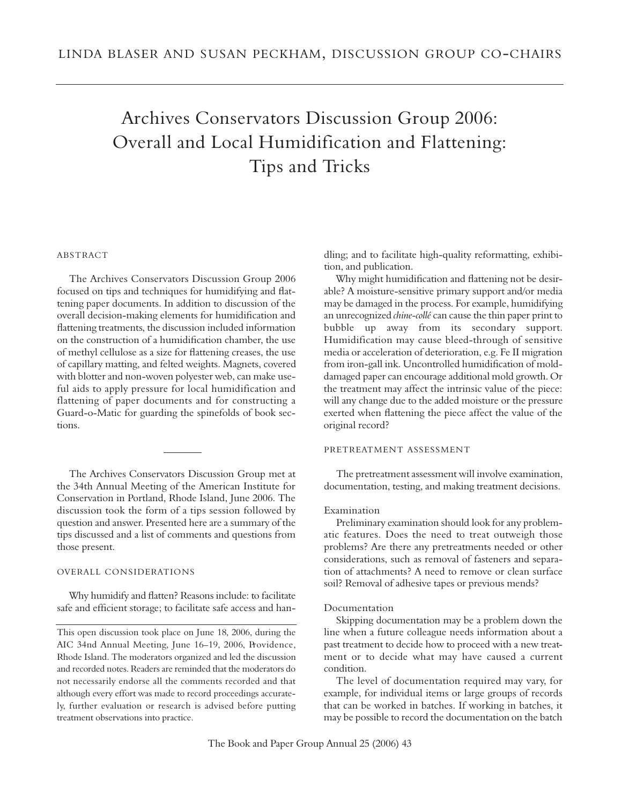# Archives Conservators Discussion Group 2006: Overall and Local Humidification and Flattening: Tips and Tricks

# **ABSTRACT**

The Archives Conservators Discussion Group 2006 focused on tips and techniques for humidifying and flattening paper documents. In addition to discussion of the overall decision-making elements for humidification and flattening treatments, the discussion included information on the construction of a humidification chamber, the use of methyl cellulose as a size for flattening creases, the use of capillary matting, and felted weights. Magnets, covered with blotter and non-woven polyester web, can make useful aids to apply pressure for local humidification and flattening of paper documents and for constructing a Guard-o-Matic for guarding the spinefolds of book sections.

The Archives Conservators Discussion Group met at the 34th Annual Meeting of the American Institute for Conservation in Portland, Rhode Island, June 2006. The discussion took the form of a tips session followed by question and answer. Presented here are a summary of the tips discussed and a list of comments and questions from those present.

# OVERALL CONSIDERATIONS

Why humidify and flatten? Reasons include: to facilitate safe and efficient storage; to facilitate safe access and handling; and to facilitate high-quality reformatting, exhibition, and publication.

Why might humidification and flattening not be desirable? A moisture-sensitive primary support and/or media may be damaged in the process. For example, humidifying an unrecognized *chine-collé* can cause the thin paper print to bubble up away from its secondary support. Humidification may cause bleed-through of sensitive media or acceleration of deterioration, e.g. Fe II migration from iron-gall ink. Uncontrolled humidification of molddamaged paper can encourage additional mold growth. Or the treatment may affect the intrinsic value of the piece: will any change due to the added moisture or the pressure exerted when flattening the piece affect the value of the original record?

## PRETREATMENT ASSESSMENT

The pretreatment assessment will involve examination, documentation, testing, and making treatment decisions.

#### Examination

Preliminary examination should look for any problematic features. Does the need to treat outweigh those problems? Are there any pretreatments needed or other considerations, such as removal of fasteners and separation of attachments? A need to remove or clean surface soil? Removal of adhesive tapes or previous mends?

## Documentation

Skipping documentation may be a problem down the line when a future colleague needs information about a past treatment to decide how to proceed with a new treatment or to decide what may have caused a current condition.

The level of documentation required may vary, for example, for individual items or large groups of records that can be worked in batches. If working in batches, it may be possible to record the documentation on the batch

This open discussion took place on June 18, 2006, during the AIC 34nd Annual Meeting, June 16-19, 2006, Providence, Rhode Island. The moderators organized and led the discussion and recorded notes. Readers are reminded that the moderators do not necessarily endorse all the comments recorded and that although every effort was made to record proceedings accurately, further evaluation or research is advised before putting treatment observations into practice.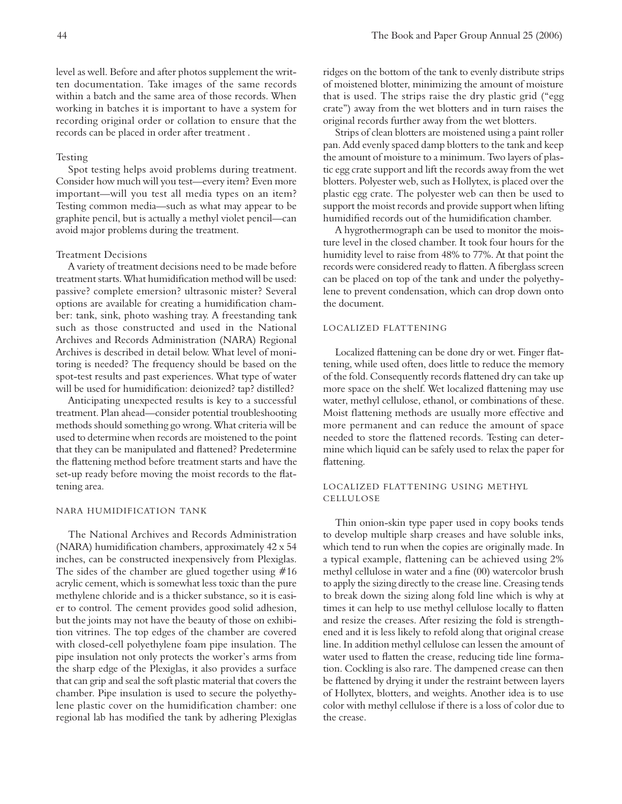level as well. Before and after photos supplement the written documentation. Take images of the same records within a batch and the same area of those records. When working in batches it is important to have a system for recording original order or collation to ensure that the records can be placed in order after treatment .

#### **Testing**

Spot testing helps avoid problems during treatment. Consider how much will you test—every item? Even more important—will you test all media types on an item? Testing common media—such as what may appear to be graphite pencil, but is actually a methyl violet pencil—can avoid major problems during the treatment.

## Treatment Decisions

A variety of treatment decisions need to be made before treatment starts. What humidification method will be used: passive? complete emersion? ultrasonic mister? Several options are available for creating a humidification chamber: tank, sink, photo washing tray. A freestanding tank such as those constructed and used in the National Archives and Records Administration (NARA) Regional Archives is described in detail below. What level of monitoring is needed? The frequency should be based on the spot-test results and past experiences. What type of water will be used for humidification: deionized? tap? distilled?

Anticipating unexpected results is key to a successful treatment. Plan ahead—consider potential troubleshooting methods should something go wrong. What criteria will be used to determine when records are moistened to the point that they can be manipulated and flattened? Predetermine the flattening method before treatment starts and have the set-up ready before moving the moist records to the flattening area.

## NARA HUMIDIFICATION TANK

The National Archives and Records Administration (NARA) humidification chambers, approximately 42 x 54 inches, can be constructed inexpensively from Plexiglas. The sides of the chamber are glued together using #16 acrylic cement, which is somewhat less toxic than the pure methylene chloride and is a thicker substance, so it is easier to control. The cement provides good solid adhesion, but the joints may not have the beauty of those on exhibition vitrines. The top edges of the chamber are covered with closed-cell polyethylene foam pipe insulation. The pipe insulation not only protects the worker's arms from the sharp edge of the Plexiglas, it also provides a surface that can grip and seal the soft plastic material that covers the chamber. Pipe insulation is used to secure the polyethylene plastic cover on the humidification chamber: one regional lab has modified the tank by adhering Plexiglas ridges on the bottom of the tank to evenly distribute strips of moistened blotter, minimizing the amount of moisture that is used. The strips raise the dry plastic grid ("egg crate") away from the wet blotters and in turn raises the original records further away from the wet blotters.

Strips of clean blotters are moistened using a paint roller pan. Add evenly spaced damp blotters to the tank and keep the amount of moisture to a minimum. Two layers of plastic egg crate support and lift the records away from the wet blotters. Polyester web, such as Hollytex, is placed over the plastic egg crate. The polyester web can then be used to support the moist records and provide support when lifting humidified records out of the humidification chamber.

A hygrothermograph can be used to monitor the moisture level in the closed chamber. It took four hours for the humidity level to raise from 48% to 77%. At that point the records were considered ready to flatten. A fiberglass screen can be placed on top of the tank and under the polyethylene to prevent condensation, which can drop down onto the document.

## LOCALIZED FLATTENING

Localized flattening can be done dry or wet. Finger flattening, while used often, does little to reduce the memory of the fold. Consequently records flattened dry can take up more space on the shelf. Wet localized flattening may use water, methyl cellulose, ethanol, or combinations of these. Moist flattening methods are usually more effective and more permanent and can reduce the amount of space needed to store the flattened records. Testing can determine which liquid can be safely used to relax the paper for flattening.

# LOCALIZED FLATTENING USING METHYL **CELLULOSE**

Thin onion-skin type paper used in copy books tends to develop multiple sharp creases and have soluble inks, which tend to run when the copies are originally made. In a typical example, flattening can be achieved using 2% methyl cellulose in water and a fine (00) watercolor brush to apply the sizing directly to the crease line. Creasing tends to break down the sizing along fold line which is why at times it can help to use methyl cellulose locally to flatten and resize the creases. After resizing the fold is strengthened and it is less likely to refold along that original crease line. In addition methyl cellulose can lessen the amount of water used to flatten the crease, reducing tide line formation. Cockling is also rare. The dampened crease can then be flattened by drying it under the restraint between layers of Hollytex, blotters, and weights. Another idea is to use color with methyl cellulose if there is a loss of color due to the crease.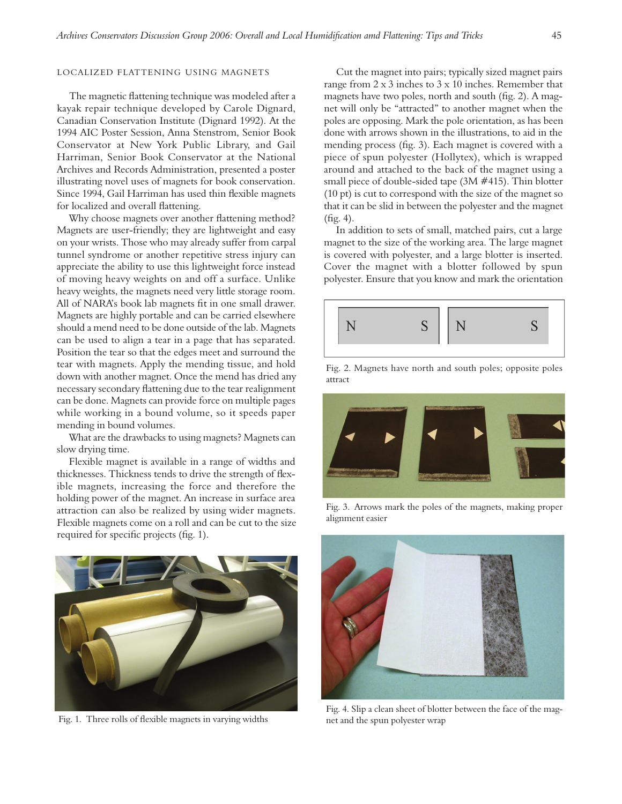# LOCALIZED FLATTENING USING MAGNETS

The magnetic flattening technique was modeled after a kayak repair technique developed by Carole Dignard, Canadian Conservation Institute (Dignard 1992). At the 1994 AIC Poster Session, Anna Stenstrom, Senior Book Conservator at New York Public Library, and Gail Harriman, Senior Book Conservator at the National Archives and Records Administration, presented a poster illustrating novel uses of magnets for book conservation. Since 1994, Gail Harriman has used thin flexible magnets for localized and overall flattening.

Why choose magnets over another flattening method? Magnets are user-friendly; they are lightweight and easy on your wrists. Those who may already suffer from carpal tunnel syndrome or another repetitive stress injury can appreciate the ability to use this lightweight force instead of moving heavy weights on and off a surface. Unlike heavy weights, the magnets need very little storage room. All of NARA's book lab magnets fit in one small drawer. Magnets are highly portable and can be carried elsewhere should a mend need to be done outside of the lab. Magnets can be used to align a tear in a page that has separated. Position the tear so that the edges meet and surround the tear with magnets. Apply the mending tissue, and hold down with another magnet. Once the mend has dried any necessary secondary flattening due to the tear realignment can be done. Magnets can provide force on multiple pages while working in a bound volume, so it speeds paper mending in bound volumes.

What are the drawbacks to using magnets? Magnets can slow drying time.

Flexible magnet is available in a range of widths and thicknesses. Thickness tends to drive the strength of flexible magnets, increasing the force and therefore the holding power of the magnet. An increase in surface area attraction can also be realized by using wider magnets. Flexible magnets come on a roll and can be cut to the size required for specific projects (fig. 1).



Fig. 1. Three rolls of flexible magnets in varying widths

Cut the magnet into pairs; typically sized magnet pairs range from 2 x 3 inches to 3 x 10 inches. Remember that magnets have two poles, north and south (fig. 2). A magnet will only be "attracted" to another magnet when the poles are opposing. Mark the pole orientation, as has been done with arrows shown in the illustrations, to aid in the mending process (fig. 3). Each magnet is covered with a piece of spun polyester (Hollytex), which is wrapped around and attached to the back of the magnet using a small piece of double-sided tape (3M #415). Thin blotter (10 pt) is cut to correspond with the size of the magnet so that it can be slid in between the polyester and the magnet (fig. 4).

In addition to sets of small, matched pairs, cut a large magnet to the size of the working area. The large magnet is covered with polyester, and a large blotter is inserted. Cover the magnet with a blotter followed by spun polyester. Ensure that you know and mark the orientation



Fig. 2. Magnets have north and south poles; opposite poles attract



Fig. 3. Arrows mark the poles of the magnets, making proper alignment easier



Fig. 4. Slip a clean sheet of blotter between the face of the magnet and the spun polyester wrap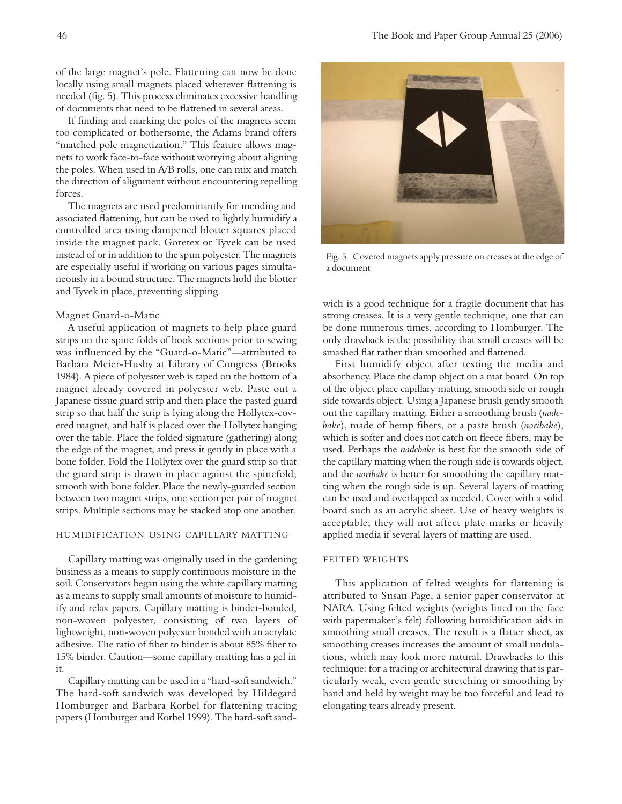of the large magnet's pole. Flattening can now be done locally using small magnets placed wherever flattening is needed (fig. 5). This process eliminates excessive handling of documents that need to be flattened in several areas.

If finding and marking the poles of the magnets seem too complicated or bothersome, the Adams brand offers "matched pole magnetization." This feature allows magnets to work face-to-face without worrying about aligning the poles. When used in A/B rolls, one can mix and match the direction of alignment without encountering repelling forces.

The magnets are used predominantly for mending and associated flattening, but can be used to lightly humidify a controlled area using dampened blotter squares placed inside the magnet pack. Goretex or Tyvek can be used instead of or in addition to the spun polyester. The magnets are especially useful if working on various pages simultaneously in a bound structure. The magnets hold the blotter and Tyvek in place, preventing slipping.

#### Magnet Guard-o-Matic

A useful application of magnets to help place guard strips on the spine folds of book sections prior to sewing was influenced by the "Guard-o-Matic"—attributed to Barbara Meier-Husby at Library of Congress (Brooks 1984). A piece of polyester web is taped on the bottom of a magnet already covered in polyester web. Paste out a Japanese tissue guard strip and then place the pasted guard strip so that half the strip is lying along the Hollytex-covered magnet, and half is placed over the Hollytex hanging over the table. Place the folded signature (gathering) along the edge of the magnet, and press it gently in place with a bone folder. Fold the Hollytex over the guard strip so that the guard strip is drawn in place against the spinefold; smooth with bone folder. Place the newly-guarded section between two magnet strips, one section per pair of magnet strips. Multiple sections may be stacked atop one another.

# HUMIDIFICATION USING CAPILLARY MATTING

Capillary matting was originally used in the gardening business as a means to supply continuous moisture in the soil. Conservators began using the white capillary matting as a means to supply small amounts of moisture to humidify and relax papers. Capillary matting is binder-bonded, non-woven polyester, consisting of two layers of lightweight, non-woven polyester bonded with an acrylate adhesive. The ratio of fiber to binder is about 85% fiber to 15% binder. Caution—some capillary matting has a gel in it.

Capillary matting can be used in a "hard-soft sandwich." The hard-soft sandwich was developed by Hildegard Homburger and Barbara Korbel for flattening tracing papers (Homburger and Korbel 1999). The hard-soft sand-



Fig. 5. Covered magnets apply pressure on creases at the edge of a document

wich is a good technique for a fragile document that has strong creases. It is a very gentle technique, one that can be done numerous times, according to Homburger. The only drawback is the possibility that small creases will be smashed flat rather than smoothed and flattened.

First humidify object after testing the media and absorbency. Place the damp object on a mat board. On top of the object place capillary matting, smooth side or rough side towards object. Using a Japanese brush gently smooth out the capillary matting. Either a smoothing brush (*nadebake*), made of hemp fibers, or a paste brush (*noribake*), which is softer and does not catch on fleece fibers, may be used. Perhaps the *nadebake* is best for the smooth side of the capillary matting when the rough side is towards object, and the *noribake* is better for smoothing the capillary matting when the rough side is up. Several layers of matting can be used and overlapped as needed. Cover with a solid board such as an acrylic sheet. Use of heavy weights is acceptable; they will not affect plate marks or heavily applied media if several layers of matting are used.

## FELTED WEIGHTS

This application of felted weights for flattening is attributed to Susan Page, a senior paper conservator at NARA. Using felted weights (weights lined on the face with papermaker's felt) following humidification aids in smoothing small creases. The result is a flatter sheet, as smoothing creases increases the amount of small undulations, which may look more natural. Drawbacks to this technique: for a tracing or architectural drawing that is particularly weak, even gentle stretching or smoothing by hand and held by weight may be too forceful and lead to elongating tears already present.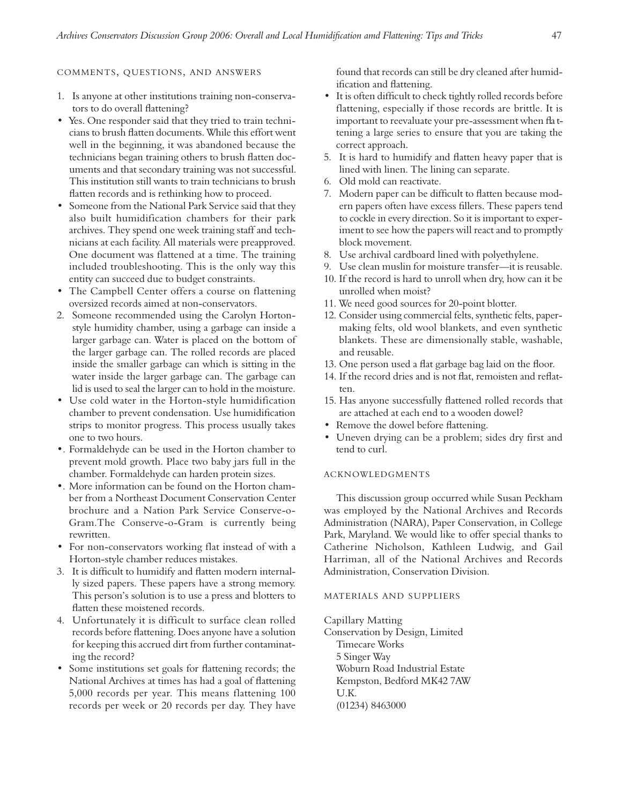#### 47

## COMMENTS, QUESTIONS, AND ANSWERS

- 1. Is anyone at other institutions training non-conservators to do overall flattening?
- Yes. One responder said that they tried to train technicians to brush flatten documents. While this effort went well in the beginning, it was abandoned because the technicians began training others to brush flatten documents and that secondary training was not successful. This institution still wants to train technicians to brush flatten records and is rethinking how to proceed.
- Someone from the National Park Service said that they also built humidification chambers for their park archives. They spend one week training staff and technicians at each facility. All materials were preapproved. One document was flattened at a time. The training included troubleshooting. This is the only way this entity can succeed due to budget constraints.
- The Campbell Center offers a course on flattening oversized records aimed at non-conservators.
- 2. Someone recommended using the Carolyn Hortonstyle humidity chamber, using a garbage can inside a larger garbage can. Water is placed on the bottom of the larger garbage can. The rolled records are placed inside the smaller garbage can which is sitting in the water inside the larger garbage can. The garbage can lid is used to seal the larger can to hold in the moisture.
- Use cold water in the Horton-style humidification chamber to prevent condensation. Use humidification strips to monitor progress. This process usually takes one to two hours.
- •. Formaldehyde can be used in the Horton chamber to prevent mold growth. Place two baby jars full in the chamber. Formaldehyde can harden protein sizes.
- •. More information can be found on the Horton chamber from a Northeast Document Conservation Center brochure and a Nation Park Service Conserve-o-Gram.The Conserve-o-Gram is currently being rewritten.
- For non-conservators working flat instead of with a Horton-style chamber reduces mistakes.
- 3. It is difficult to humidify and flatten modern internally sized papers. These papers have a strong memory. This person's solution is to use a press and blotters to flatten these moistened records.
- 4. Unfortunately it is difficult to surface clean rolled records before flattening. Does anyone have a solution for keeping this accrued dirt from further contaminating the record?
- Some institutions set goals for flattening records; the National Archives at times has had a goal of flattening 5,000 records per year. This means flattening 100 records per week or 20 records per day. They have

found that records can still be dry cleaned after humidification and flattening.

- It is often difficult to check tightly rolled records before flattening, especially if those records are brittle. It is important to reevaluate your pre-assessment when fla ttening a large series to ensure that you are taking the correct approach.
- 5. It is hard to humidify and flatten heavy paper that is lined with linen. The lining can separate.
- 6. Old mold can reactivate.
- 7. Modern paper can be difficult to flatten because modern papers often have excess fillers. These papers tend to cockle in every direction. So it is important to experiment to see how the papers will react and to promptly block movement.
- 8. Use archival cardboard lined with polyethylene.
- 9. Use clean muslin for moisture transfer—it is reusable.
- 10. If the record is hard to unroll when dry, how can it be unrolled when moist?
- 11. We need good sources for 20-point blotter.
- 12. Consider using commercial felts, synthetic felts, papermaking felts, old wool blankets, and even synthetic blankets. These are dimensionally stable, washable, and reusable.
- 13. One person used a flat garbage bag laid on the floor.
- 14. If the record dries and is not flat, remoisten and reflatten.
- 15. Has anyone successfully flattened rolled records that are attached at each end to a wooden dowel?
- Remove the dowel before flattening.
- Uneven drying can be a problem; sides dry first and tend to curl.

# **ACKNOWLEDGMENTS**

This discussion group occurred while Susan Peckham was employed by the National Archives and Records Administration (NARA), Paper Conservation, in College Park, Maryland. We would like to offer special thanks to Catherine Nicholson, Kathleen Ludwig, and Gail Harriman, all of the National Archives and Records Administration, Conservation Division.

## MATERIALS AND SUPPLIERS

Capillary Matting

Conservation by Design, Limited Timecare Works 5 Singer Way Woburn Road Industrial Estate Kempston, Bedford MK42 7AW U.K. (01234) 8463000